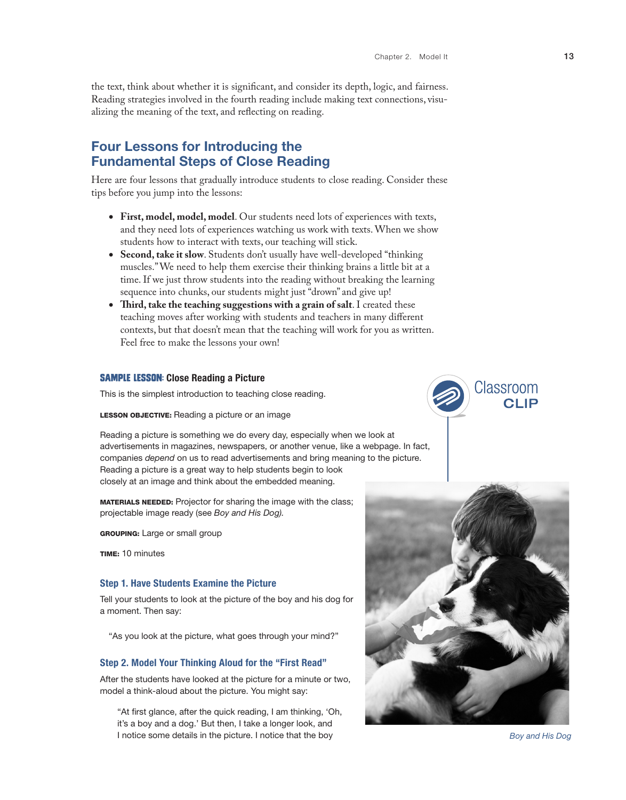the text, think about whether it is significant, and consider its depth, logic, and fairness. Reading strategies involved in the fourth reading include making text connections, visualizing the meaning of the text, and reflecting on reading.

## Four Lessons for Introducing the Fundamental Steps of Close Reading

Here are four lessons that gradually introduce students to close reading. Consider these tips before you jump into the lessons:

- • **First, model, model, model**. Our students need lots of experiences with texts, and they need lots of experiences watching us work with texts. When we show students how to interact with texts, our teaching will stick.
- • **Second, take it slow**. Students don't usually have well-developed "thinking muscles." We need to help them exercise their thinking brains a little bit at a time. If we just throw students into the reading without breaking the learning sequence into chunks, our students might just "drown" and give up!
- • **Third, take the teaching suggestions with a grain of salt**. I created these teaching moves after working with students and teachers in many different contexts, but that doesn't mean that the teaching will work for you as written. Feel free to make the lessons your own!

#### **SAMPLE LESSON: Close Reading a Picture**

This is the simplest introduction to teaching close reading.

#### LESSON OBJECTIVE: Reading a picture or an image

Reading a picture is something we do every day, especially when we look at advertisements in magazines, newspapers, or another venue, like a webpage. In fact, companies *depend* on us to read advertisements and bring meaning to the picture. Reading a picture is a great way to help students begin to look closely at an image and think about the embedded meaning.

MATERIALS NEEDED: Projector for sharing the image with the class; projectable image ready (see *Boy and His Dog).*

**GROUPING:** Large or small group

TIME: 10 minutes

#### Step 1. Have Students Examine the Picture

Tell your students to look at the picture of the boy and his dog for a moment. Then say:

"As you look at the picture, what goes through your mind?"

#### Step 2. Model Your Thinking Aloud for the "First Read"

After the students have looked at the picture for a minute or two, model a think-aloud about the picture. You might say:

"At first glance, after the quick reading, I am thinking, 'Oh, it's a boy and a dog.' But then, I take a longer look, and I notice some details in the picture. I notice that the boy **Boy and His Dog** *Boy and His Dog* 



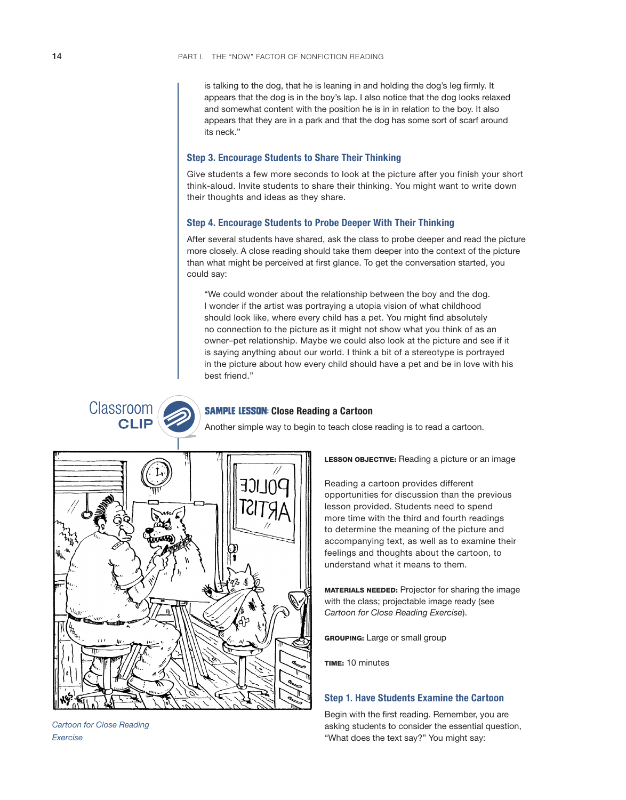is talking to the dog, that he is leaning in and holding the dog's leg firmly. It appears that the dog is in the boy's lap. I also notice that the dog looks relaxed and somewhat content with the position he is in in relation to the boy. It also appears that they are in a park and that the dog has some sort of scarf around its neck."

#### Step 3. Encourage Students to Share Their Thinking

Give students a few more seconds to look at the picture after you finish your short think-aloud. Invite students to share their thinking. You might want to write down their thoughts and ideas as they share.

#### Step 4. Encourage Students to Probe Deeper With Their Thinking

After several students have shared, ask the class to probe deeper and read the picture more closely. A close reading should take them deeper into the context of the picture than what might be perceived at first glance. To get the conversation started, you could say:

"We could wonder about the relationship between the boy and the dog. I wonder if the artist was portraying a utopia vision of what childhood should look like, where every child has a pet. You might find absolutely no connection to the picture as it might not show what you think of as an owner–pet relationship. Maybe we could also look at the picture and see if it is saying anything about our world. I think a bit of a stereotype is portrayed in the picture about how every child should have a pet and be in love with his best friend."

**SAMPLE LESSON: Close Reading a Cartoon** 

Another simple way to begin to teach close reading is to read a cartoon.



LESSON OBJECTIVE: Reading a picture or an image

Reading a cartoon provides different opportunities for discussion than the previous lesson provided. Students need to spend more time with the third and fourth readings to determine the meaning of the picture and accompanying text, as well as to examine their feelings and thoughts about the cartoon, to understand what it means to them.

MATERIALS NEEDED: Projector for sharing the image with the class; projectable image ready (see *Cartoon for Close Reading Exercise*).

GROUPING: Large or small group

TIME: 10 minutes

### Step 1. Have Students Examine the Cartoon

Begin with the first reading. Remember, you are asking students to consider the essential question, "What does the text say?" You might say:

*Cartoon for Close Reading Exercise*

Classroom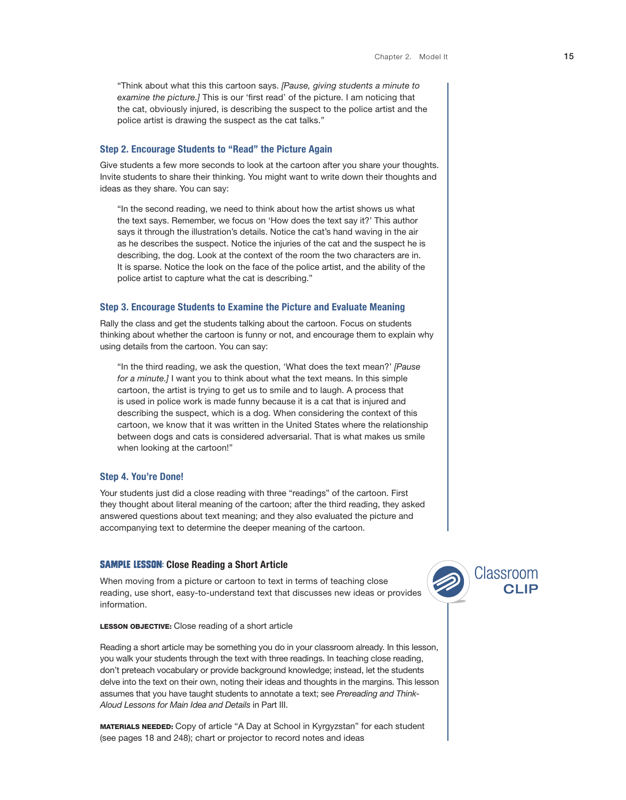"Think about what this this cartoon says. *[Pause, giving students a minute to examine the picture.]* This is our 'first read' of the picture. I am noticing that the cat, obviously injured, is describing the suspect to the police artist and the police artist is drawing the suspect as the cat talks."

#### Step 2. Encourage Students to "Read" the Picture Again

Give students a few more seconds to look at the cartoon after you share your thoughts. Invite students to share their thinking. You might want to write down their thoughts and ideas as they share. You can say:

"In the second reading, we need to think about how the artist shows us what the text says. Remember, we focus on 'How does the text say it?' This author says it through the illustration's details. Notice the cat's hand waving in the air as he describes the suspect. Notice the injuries of the cat and the suspect he is describing, the dog. Look at the context of the room the two characters are in. It is sparse. Notice the look on the face of the police artist, and the ability of the police artist to capture what the cat is describing."

#### Step 3. Encourage Students to Examine the Picture and Evaluate Meaning

Rally the class and get the students talking about the cartoon. Focus on students thinking about whether the cartoon is funny or not, and encourage them to explain why using details from the cartoon. You can say:

"In the third reading, we ask the question, 'What does the text mean?' *[Pause for a minute.]* I want you to think about what the text means. In this simple cartoon, the artist is trying to get us to smile and to laugh. A process that is used in police work is made funny because it is a cat that is injured and describing the suspect, which is a dog. When considering the context of this cartoon, we know that it was written in the United States where the relationship between dogs and cats is considered adversarial. That is what makes us smile when looking at the cartoon!"

#### Step 4. You're Done!

Your students just did a close reading with three "readings" of the cartoon. First they thought about literal meaning of the cartoon; after the third reading, they asked answered questions about text meaning; and they also evaluated the picture and accompanying text to determine the deeper meaning of the cartoon.

#### **SAMPLE LESSON: Close Reading a Short Article**

When moving from a picture or cartoon to text in terms of teaching close reading, use short, easy-to-understand text that discusses new ideas or provides information.



Reading a short article may be something you do in your classroom already. In this lesson, you walk your students through the text with three readings. In teaching close reading, don't preteach vocabulary or provide background knowledge; instead, let the students delve into the text on their own, noting their ideas and thoughts in the margins. This lesson assumes that you have taught students to annotate a text; see *Prereading and Think-Aloud Lessons for Main Idea and Details* in Part III.

MATERIALS NEEDED: Copy of article "A Day at School in Kyrgyzstan" for each student (see pages 18 and 248); chart or projector to record notes and ideas

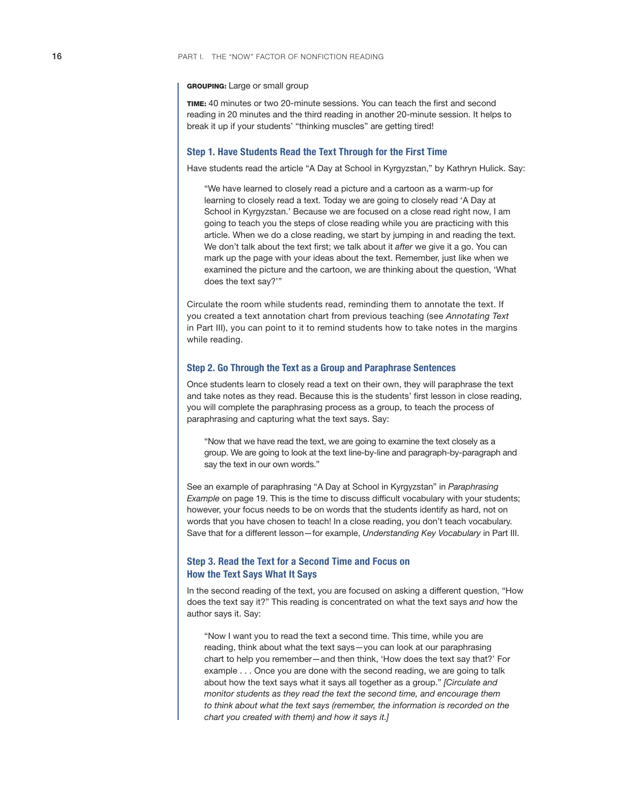#### GROUPING: Large or small group

TIME: 40 minutes or two 20-minute sessions. You can teach the first and second reading in 20 minutes and the third reading in another 20-minute session. It helps to break it up if your students' "thinking muscles" are getting tired!

#### Step 1. Have Students Read the Text Through for the First Time

Have students read the article "A Day at School in Kyrgyzstan," by Kathryn Hulick. Say:

"We have learned to closely read a picture and a cartoon as a warm-up for learning to closely read a text. Today we are going to closely read 'A Day at School in Kyrgyzstan.' Because we are focused on a close read right now, I am going to teach you the steps of close reading while you are practicing with this article. When we do a close reading, we start by jumping in and reading the text. We don't talk about the text first; we talk about it *after* we give it a go. You can mark up the page with your ideas about the text. Remember, just like when we examined the picture and the cartoon, we are thinking about the question, 'What does the text say?'"

Circulate the room while students read, reminding them to annotate the text. If you created a text annotation chart from previous teaching (see *Annotating Text* in Part III), you can point to it to remind students how to take notes in the margins while reading.

#### Step 2. Go Through the Text as a Group and Paraphrase Sentences

Once students learn to closely read a text on their own, they will paraphrase the text and take notes as they read. Because this is the students' first lesson in close reading, you will complete the paraphrasing process as a group, to teach the process of paraphrasing and capturing what the text says. Say:

"Now that we have read the text, we are going to examine the text closely as a group. We are going to look at the text line-by-line and paragraph-by-paragraph and say the text in our own words."

See an example of paraphrasing "A Day at School in Kyrgyzstan" in *Paraphrasing Example* on page 19. This is the time to discuss difficult vocabulary with your students; however, your focus needs to be on words that the students identify as hard, not on words that you have chosen to teach! In a close reading, you don't teach vocabulary. Save that for a different lesson—for example, *Understanding Key Vocabulary* in Part III.

## Step 3. Read the Text for a Second Time and Focus on How the Text Says What It Says

In the second reading of the text, you are focused on asking a different question, "How does the text say it?" This reading is concentrated on what the text says *and* how the author says it. Say:

"Now I want you to read the text a second time. This time, while you are reading, think about what the text says—you can look at our paraphrasing chart to help you remember—and then think, 'How does the text say that?' For example . . . Once you are done with the second reading, we are going to talk about how the text says what it says all together as a group." *[Circulate and monitor students as they read the text the second time, and encourage them to think about what the text says (remember, the information is recorded on the chart you created with them) and how it says it.]*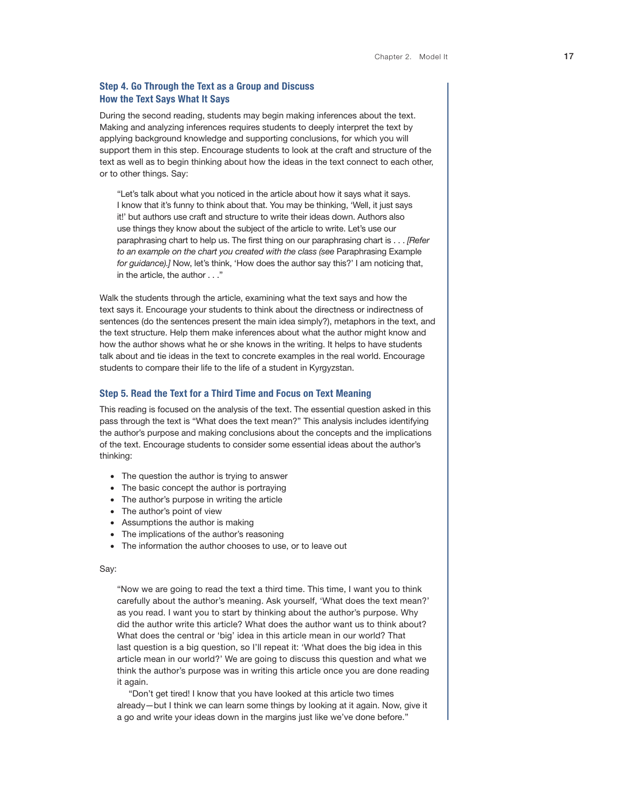## Step 4. Go Through the Text as a Group and Discuss How the Text Says What It Says

During the second reading, students may begin making inferences about the text. Making and analyzing inferences requires students to deeply interpret the text by applying background knowledge and supporting conclusions, for which you will support them in this step. Encourage students to look at the craft and structure of the text as well as to begin thinking about how the ideas in the text connect to each other, or to other things. Say:

"Let's talk about what you noticed in the article about how it says what it says. I know that it's funny to think about that. You may be thinking, 'Well, it just says it!' but authors use craft and structure to write their ideas down. Authors also use things they know about the subject of the article to write. Let's use our paraphrasing chart to help us. The first thing on our paraphrasing chart is . . . *[Refer to an example on the chart you created with the class (see* Paraphrasing Example *for guidance).]* Now, let's think, 'How does the author say this?' I am noticing that, in the article, the author . . ."

Walk the students through the article, examining what the text says and how the text says it. Encourage your students to think about the directness or indirectness of sentences (do the sentences present the main idea simply?), metaphors in the text, and the text structure. Help them make inferences about what the author might know and how the author shows what he or she knows in the writing. It helps to have students talk about and tie ideas in the text to concrete examples in the real world. Encourage students to compare their life to the life of a student in Kyrgyzstan.

#### Step 5. Read the Text for a Third Time and Focus on Text Meaning

This reading is focused on the analysis of the text. The essential question asked in this pass through the text is "What does the text mean?" This analysis includes identifying the author's purpose and making conclusions about the concepts and the implications of the text. Encourage students to consider some essential ideas about the author's thinking:

- The question the author is trying to answer
- The basic concept the author is portraying
- The author's purpose in writing the article
- The author's point of view
- Assumptions the author is making
- The implications of the author's reasoning
- The information the author chooses to use, or to leave out

#### Say:

"Now we are going to read the text a third time. This time, I want you to think carefully about the author's meaning. Ask yourself, 'What does the text mean?' as you read. I want you to start by thinking about the author's purpose. Why did the author write this article? What does the author want us to think about? What does the central or 'big' idea in this article mean in our world? That last question is a big question, so I'll repeat it: 'What does the big idea in this article mean in our world?' We are going to discuss this question and what we think the author's purpose was in writing this article once you are done reading it again.

"Don't get tired! I know that you have looked at this article two times already—but I think we can learn some things by looking at it again. Now, give it a go and write your ideas down in the margins just like we've done before."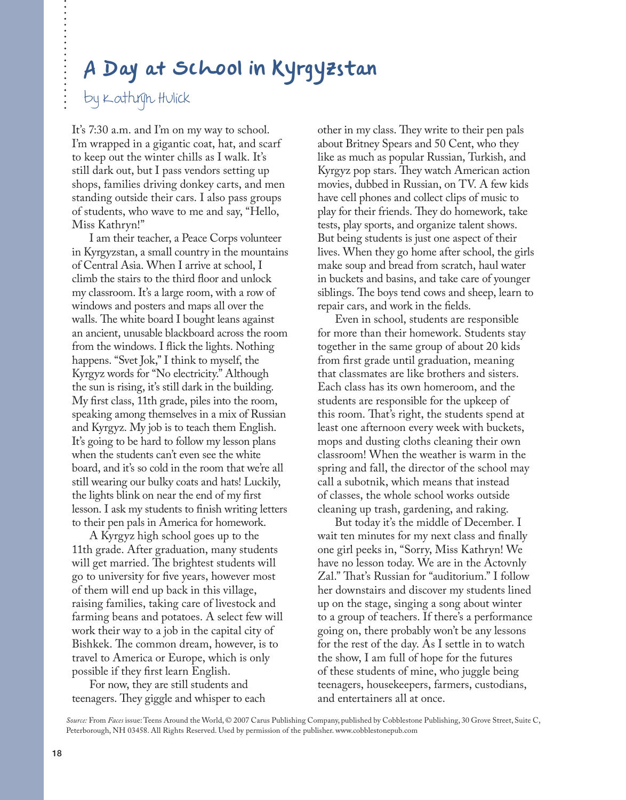# **A Day at School in Kyrgyzstan**

# by Kathryn Hulick

It's 7:30 a.m. and I'm on my way to school. I'm wrapped in a gigantic coat, hat, and scarf to keep out the winter chills as I walk. It's still dark out, but I pass vendors setting up shops, families driving donkey carts, and men standing outside their cars. I also pass groups of students, who wave to me and say, "Hello, Miss Kathryn!"

I am their teacher, a Peace Corps volunteer in Kyrgyzstan, a small country in the mountains of Central Asia. When I arrive at school, I climb the stairs to the third floor and unlock my classroom. It's a large room, with a row of windows and posters and maps all over the walls. The white board I bought leans against an ancient, unusable blackboard across the room from the windows. I flick the lights. Nothing happens. "Svet Jok," I think to myself, the Kyrgyz words for "No electricity." Although the sun is rising, it's still dark in the building. My first class, 11th grade, piles into the room, speaking among themselves in a mix of Russian and Kyrgyz. My job is to teach them English. It's going to be hard to follow my lesson plans when the students can't even see the white board, and it's so cold in the room that we're all still wearing our bulky coats and hats! Luckily, the lights blink on near the end of my first lesson. I ask my students to finish writing letters to their pen pals in America for homework.

A Kyrgyz high school goes up to the 11th grade. After graduation, many students will get married. The brightest students will go to university for five years, however most of them will end up back in this village, raising families, taking care of livestock and farming beans and potatoes. A select few will work their way to a job in the capital city of Bishkek. The common dream, however, is to travel to America or Europe, which is only possible if they first learn English.

For now, they are still students and teenagers. They giggle and whisper to each other in my class. They write to their pen pals about Britney Spears and 50 Cent, who they like as much as popular Russian, Turkish, and Kyrgyz pop stars. They watch American action movies, dubbed in Russian, on TV. A few kids have cell phones and collect clips of music to play for their friends. They do homework, take tests, play sports, and organize talent shows. But being students is just one aspect of their lives. When they go home after school, the girls make soup and bread from scratch, haul water in buckets and basins, and take care of younger siblings. The boys tend cows and sheep, learn to repair cars, and work in the fields.

Even in school, students are responsible for more than their homework. Students stay together in the same group of about 20 kids from first grade until graduation, meaning that classmates are like brothers and sisters. Each class has its own homeroom, and the students are responsible for the upkeep of this room. That's right, the students spend at least one afternoon every week with buckets, mops and dusting cloths cleaning their own classroom! When the weather is warm in the spring and fall, the director of the school may call a subotnik, which means that instead of classes, the whole school works outside cleaning up trash, gardening, and raking.

But today it's the middle of December. I wait ten minutes for my next class and finally one girl peeks in, "Sorry, Miss Kathryn! We have no lesson today. We are in the Actovnly Zal." That's Russian for "auditorium." I follow her downstairs and discover my students lined up on the stage, singing a song about winter to a group of teachers. If there's a performance going on, there probably won't be any lessons for the rest of the day. As I settle in to watch the show, I am full of hope for the futures of these students of mine, who juggle being teenagers, housekeepers, farmers, custodians, and entertainers all at once.

*Source:* From *Faces* issue: Teens Around the World, © 2007 Carus Publishing Company, published by Cobblestone Publishing, 30 Grove Street, Suite C, Peterborough, NH 03458. All Rights Reserved. Used by permission of the publisher. www.cobblestonepub.com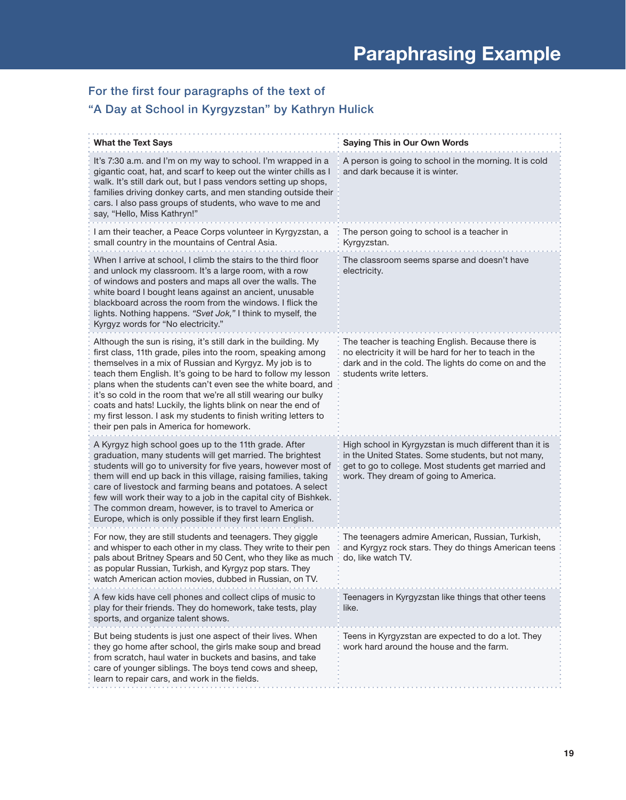# For the first four paragraphs of the text of

# "A Day at School in Kyrgyzstan" by Kathryn Hulick

| <b>What the Text Says</b>                                                                                                                                                                                                                                                                                                                                                                                                                                                                                                                                                   | <b>Saying This in Our Own Words</b>                                                                                                                                                                          |
|-----------------------------------------------------------------------------------------------------------------------------------------------------------------------------------------------------------------------------------------------------------------------------------------------------------------------------------------------------------------------------------------------------------------------------------------------------------------------------------------------------------------------------------------------------------------------------|--------------------------------------------------------------------------------------------------------------------------------------------------------------------------------------------------------------|
| It's 7:30 a.m. and I'm on my way to school. I'm wrapped in a<br>gigantic coat, hat, and scarf to keep out the winter chills as I<br>walk. It's still dark out, but I pass vendors setting up shops,<br>families driving donkey carts, and men standing outside their<br>cars. I also pass groups of students, who wave to me and<br>say, "Hello, Miss Kathryn!"                                                                                                                                                                                                             | A person is going to school in the morning. It is cold<br>and dark because it is winter.                                                                                                                     |
| I am their teacher, a Peace Corps volunteer in Kyrgyzstan, a<br>small country in the mountains of Central Asia.                                                                                                                                                                                                                                                                                                                                                                                                                                                             | The person going to school is a teacher in<br>Kyrgyzstan.                                                                                                                                                    |
| When I arrive at school, I climb the stairs to the third floor<br>and unlock my classroom. It's a large room, with a row<br>of windows and posters and maps all over the walls. The<br>white board I bought leans against an ancient, unusable<br>blackboard across the room from the windows. I flick the<br>lights. Nothing happens. "Svet Jok," I think to myself, the<br>Kyrgyz words for "No electricity."                                                                                                                                                             | The classroom seems sparse and doesn't have<br>electricity.                                                                                                                                                  |
| Although the sun is rising, it's still dark in the building. My<br>first class, 11th grade, piles into the room, speaking among<br>themselves in a mix of Russian and Kyrgyz. My job is to<br>teach them English. It's going to be hard to follow my lesson<br>plans when the students can't even see the white board, and<br>it's so cold in the room that we're all still wearing our bulky<br>coats and hats! Luckily, the lights blink on near the end of<br>my first lesson. I ask my students to finish writing letters to<br>their pen pals in America for homework. | The teacher is teaching English. Because there is<br>no electricity it will be hard for her to teach in the<br>dark and in the cold. The lights do come on and the<br>students write letters.                |
| A Kyrgyz high school goes up to the 11th grade. After<br>graduation, many students will get married. The brightest<br>students will go to university for five years, however most of<br>them will end up back in this village, raising families, taking<br>care of livestock and farming beans and potatoes. A select<br>few will work their way to a job in the capital city of Bishkek.<br>The common dream, however, is to travel to America or<br>Europe, which is only possible if they first learn English.                                                           | High school in Kyrgyzstan is much different than it is<br>in the United States. Some students, but not many,<br>get to go to college. Most students get married and<br>work. They dream of going to America. |
| For now, they are still students and teenagers. They giggle<br>and whisper to each other in my class. They write to their pen<br>pals about Britney Spears and 50 Cent, who they like as much<br>as popular Russian, Turkish, and Kyrgyz pop stars. They<br>watch American action movies, dubbed in Russian, on TV.                                                                                                                                                                                                                                                         | The teenagers admire American, Russian, Turkish,<br>and Kyrgyz rock stars. They do things American teens<br>do, like watch TV.                                                                               |
| A few kids have cell phones and collect clips of music to<br>play for their friends. They do homework, take tests, play<br>sports, and organize talent shows.                                                                                                                                                                                                                                                                                                                                                                                                               | Teenagers in Kyrgyzstan like things that other teens<br>like.                                                                                                                                                |
| But being students is just one aspect of their lives. When<br>they go home after school, the girls make soup and bread<br>from scratch, haul water in buckets and basins, and take<br>care of younger siblings. The boys tend cows and sheep,<br>learn to repair cars, and work in the fields.                                                                                                                                                                                                                                                                              | Teens in Kyrgyzstan are expected to do a lot. They<br>work hard around the house and the farm.                                                                                                               |